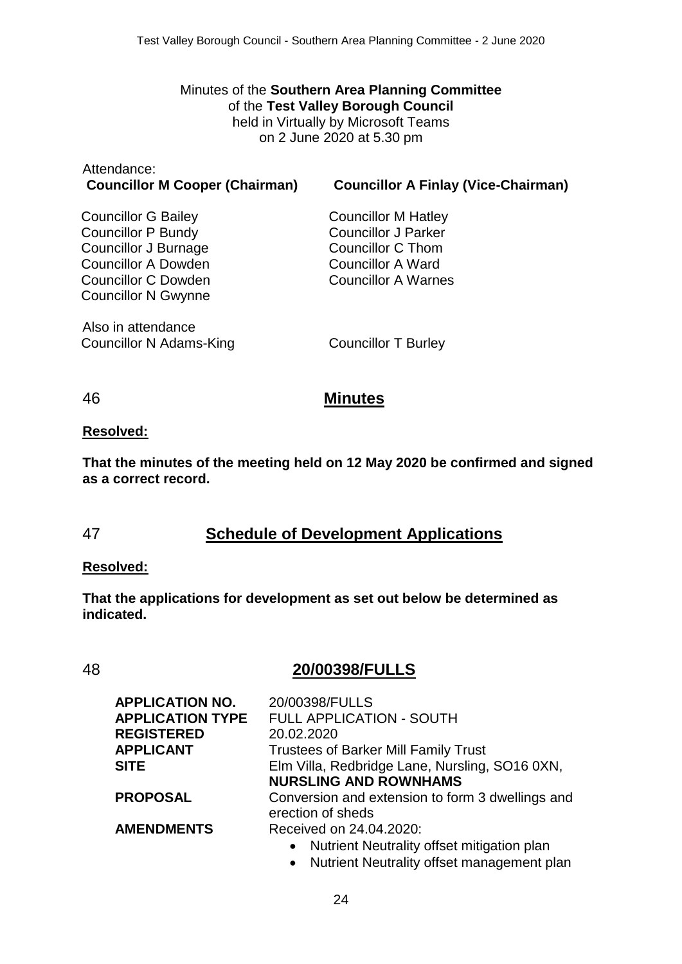Minutes of the **Southern Area Planning Committee** of the **Test Valley Borough Council** held in Virtually by Microsoft Teams on 2 June 2020 at 5.30 pm

| Attendance:                           |                   |
|---------------------------------------|-------------------|
| <b>Councillor M Cooper (Chairman)</b> | <b>Councillor</b> |

**Councillor M Cooper (Chairman) Councillor A Finlay (Vice-Chairman)**

Councillor G Bailey Councillor P Bundy Councillor J Burnage Councillor A Dowden Councillor C Dowden Councillor N Gwynne

Also in attendance Councillor N Adams-King Councillor T Burley

Councillor M Hatley Councillor J Parker Councillor C Thom Councillor A Ward Councillor A Warnes

## 46 **Minutes**

#### **Resolved:**

**That the minutes of the meeting held on 12 May 2020 be confirmed and signed as a correct record.**

# 47 **Schedule of Development Applications**

#### **Resolved:**

**That the applications for development as set out below be determined as indicated.**

# 48 **20/00398/FULLS**

| <b>APPLICATION NO.</b>  | 20/00398/FULLS                                   |
|-------------------------|--------------------------------------------------|
| <b>APPLICATION TYPE</b> | <b>FULL APPLICATION - SOUTH</b>                  |
| <b>REGISTERED</b>       | 20.02.2020                                       |
| <b>APPLICANT</b>        | <b>Trustees of Barker Mill Family Trust</b>      |
| <b>SITE</b>             | Elm Villa, Redbridge Lane, Nursling, SO16 0XN,   |
|                         | <b>NURSLING AND ROWNHAMS</b>                     |
| <b>PROPOSAL</b>         | Conversion and extension to form 3 dwellings and |
|                         | erection of sheds                                |
| <b>AMENDMENTS</b>       | Received on 24.04.2020:                          |
|                         | • Nutrient Neutrality offset mitigation plan     |
|                         |                                                  |

• Nutrient Neutrality offset management plan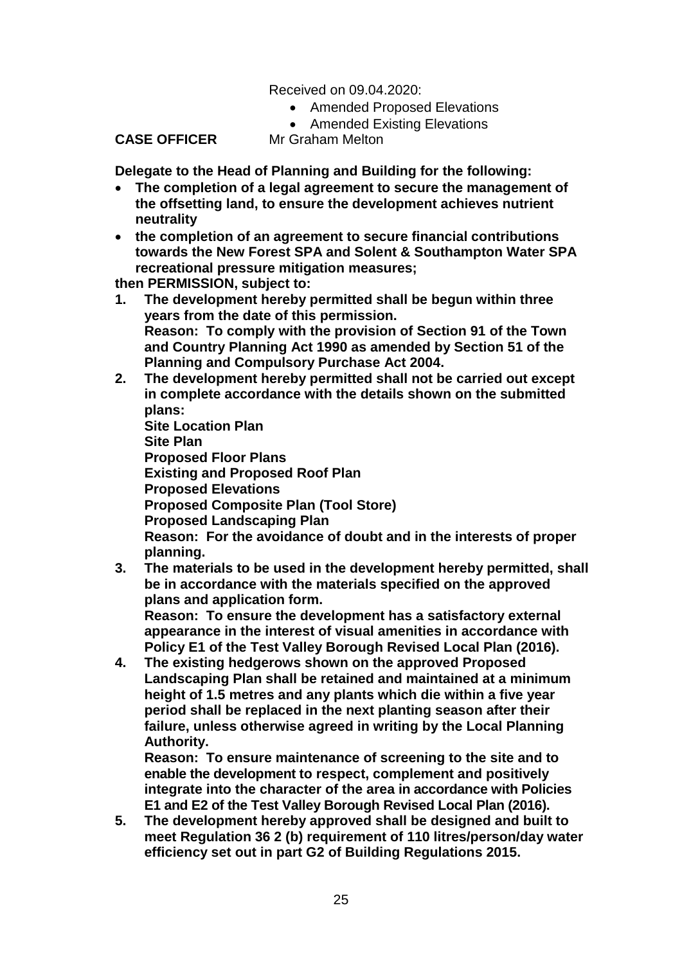### Received on 09.04.2020:

- Amended Proposed Elevations
- Amended Existing Elevations

**CASE OFFICER** Mr Graham Melton

**Delegate to the Head of Planning and Building for the following:**

- **The completion of a legal agreement to secure the management of the offsetting land, to ensure the development achieves nutrient neutrality**
- **the completion of an agreement to secure financial contributions towards the New Forest SPA and Solent & Southampton Water SPA recreational pressure mitigation measures;**

**then PERMISSION, subject to:**

- **1. The development hereby permitted shall be begun within three years from the date of this permission. Reason: To comply with the provision of Section 91 of the Town and Country Planning Act 1990 as amended by Section 51 of the Planning and Compulsory Purchase Act 2004.**
- **2. The development hereby permitted shall not be carried out except in complete accordance with the details shown on the submitted plans:**

**Site Location Plan Site Plan Proposed Floor Plans Existing and Proposed Roof Plan Proposed Elevations Proposed Composite Plan (Tool Store) Proposed Landscaping Plan Reason: For the avoidance of doubt and in the interests of proper planning.**

**3. The materials to be used in the development hereby permitted, shall be in accordance with the materials specified on the approved plans and application form.**

**Reason: To ensure the development has a satisfactory external appearance in the interest of visual amenities in accordance with Policy E1 of the Test Valley Borough Revised Local Plan (2016).**

**4. The existing hedgerows shown on the approved Proposed Landscaping Plan shall be retained and maintained at a minimum height of 1.5 metres and any plants which die within a five year period shall be replaced in the next planting season after their failure, unless otherwise agreed in writing by the Local Planning Authority.**

**Reason: To ensure maintenance of screening to the site and to enable the development to respect, complement and positively integrate into the character of the area in accordance with Policies E1 and E2 of the Test Valley Borough Revised Local Plan (2016).** 

**5. The development hereby approved shall be designed and built to meet Regulation 36 2 (b) requirement of 110 litres/person/day water efficiency set out in part G2 of Building Regulations 2015.**